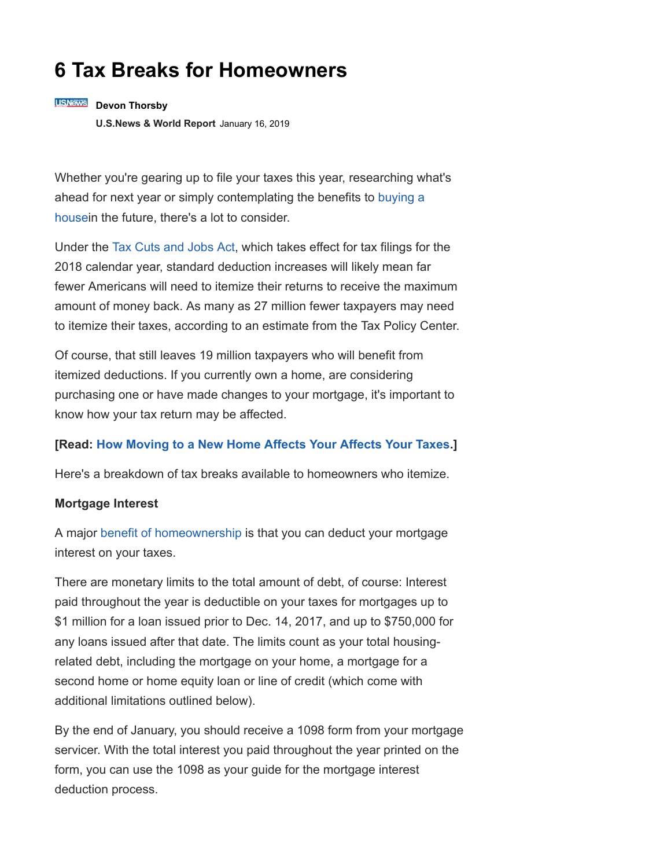# **6 Tax Breaks for Homeowners**

## **USNews** Devon Thorsby

**[U.S.News & World Report](http://money.usnews.com/)** January 16, 2019

Whether you're gearing up to file your taxes this year, researching what's [ahead for next year or simply contemplating the benefits to](https://realestate.usnews.com/real-estate/articles/guide-to-buying-a-home) buying a housein the future, there's a lot to consider.

Under the [Tax Cuts and Jobs Act](https://realestate.usnews.com/real-estate/articles/how-the-new-tax-law-will-affect-homeowners), which takes effect for tax filings for the 2018 calendar year, standard deduction increases will likely mean far fewer Americans will need to itemize their returns to receive the maximum amount of money back. As many as 27 million fewer taxpayers may need to itemize their taxes, according to an estimate from the Tax Policy Center.

Of course, that still leaves 19 million taxpayers who will benefit from itemized deductions. If you currently own a home, are considering purchasing one or have made changes to your mortgage, it's important to know how your tax return may be affected.

## **[Read: [How Moving to a New Home Affects Your Affects Your Taxes.](https://realestate.usnews.com/real-estate/articles/how-moving-to-a-new-home-affects-your-taxes)]**

Here's a breakdown of tax breaks available to homeowners who itemize.

### **Mortgage Interest**

A major [benefit of homeownership](https://money.usnews.com/money/retirement/aging/articles/2017-11-27/how-owning-a-home-can-help-or-hinder-your-retirement) is that you can deduct your mortgage interest on your taxes.

There are monetary limits to the total amount of debt, of course: Interest paid throughout the year is deductible on your taxes for mortgages up to \$1 million for a loan issued prior to Dec. 14, 2017, and up to \$750,000 for any loans issued after that date. The limits count as your total housingrelated debt, including the mortgage on your home, a mortgage for a second home or home equity loan or line of credit (which come with additional limitations outlined below).

By the end of January, you should receive a 1098 form from your mortgage servicer. With the total interest you paid throughout the year printed on the form, you can use the 1098 as your guide for the mortgage interest deduction process.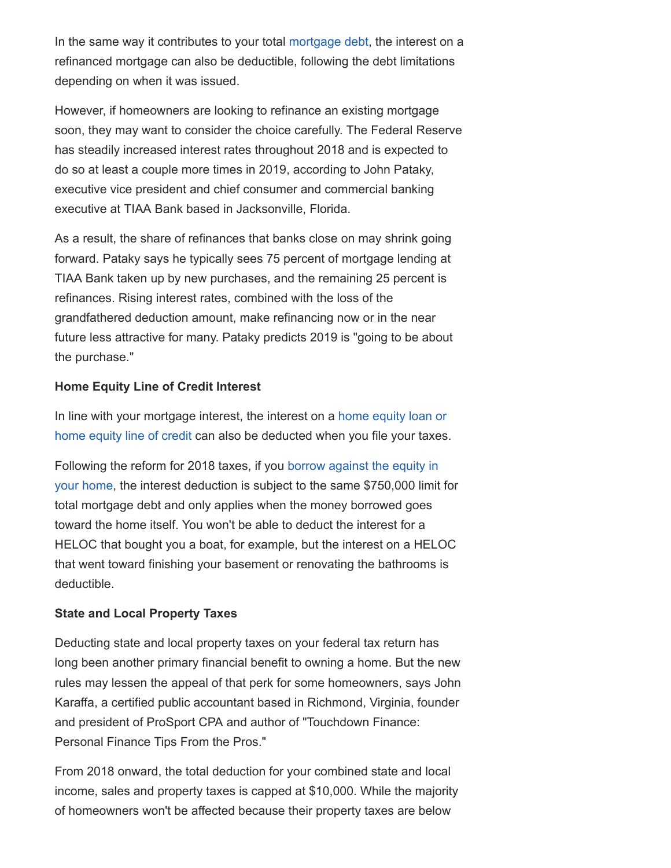In the same way it contributes to your total [mortgage debt,](https://realestate.usnews.com/real-estate/articles/what-will-the-housing-market-look-like-in-the-next-recession) the interest on a refinanced mortgage can also be deductible, following the debt limitations depending on when it was issued.

However, if homeowners are looking to refinance an existing mortgage soon, they may want to consider the choice carefully. The Federal Reserve has steadily increased interest rates throughout 2018 and is expected to do so at least a couple more times in 2019, according to John Pataky, executive vice president and chief consumer and commercial banking executive at TIAA Bank based in Jacksonville, Florida.

As a result, the share of refinances that banks close on may shrink going forward. Pataky says he typically sees 75 percent of mortgage lending at TIAA Bank taken up by new purchases, and the remaining 25 percent is refinances. Rising interest rates, combined with the loss of the grandfathered deduction amount, make refinancing now or in the near future less attractive for many. Pataky predicts 2019 is "going to be about the purchase."

## **Home Equity Line of Credit Interest**

[In line with your mortgage interest, the interest on a](https://loans.usnews.com/home-equity-lenders) home equity loan or home equity line of credit can also be deducted when you file your taxes.

Following the reform for 2018 taxes, if you borrow against the equity in [your home, the interest deduction is subject to the same \\$750,000 limit](https://realestate.usnews.com/real-estate/articles/3-questions-to-ask-before-borrowing-against-your-home-equity) for total mortgage debt and only applies when the money borrowed goes toward the home itself. You won't be able to deduct the interest for a HELOC that bought you a boat, for example, but the interest on a HELOC that went toward finishing your basement or renovating the bathrooms is deductible.

### **State and Local Property Taxes**

Deducting state and local property taxes on your federal tax return has long been another primary financial benefit to owning a home. But the new rules may lessen the appeal of that perk for some homeowners, says John Karaffa, a certified public accountant based in Richmond, Virginia, founder and president of ProSport CPA and author of "Touchdown Finance: Personal Finance Tips From the Pros."

From 2018 onward, the total deduction for your combined state and local income, sales and property taxes is capped at \$10,000. While the majority of homeowners won't be affected because their property taxes are below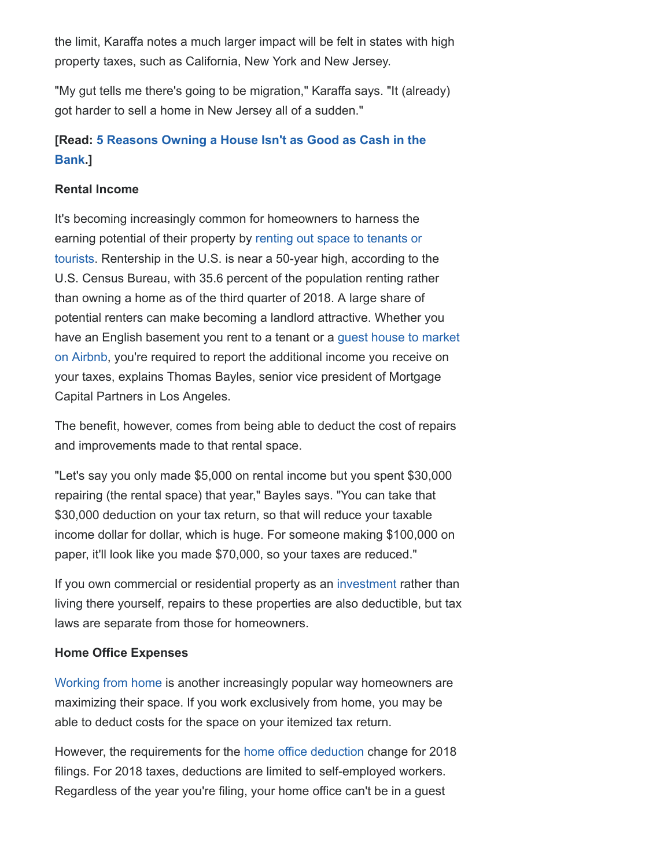the limit, Karaffa notes a much larger impact will be felt in states with high property taxes, such as California, New York and New Jersey.

"My gut tells me there's going to be migration," Karaffa says. "It (already) got harder to sell a home in New Jersey all of a sudden."

# **[Read: [5 Reasons Owning a House Isn't as Good as Cash in the](https://realestate.usnews.com/real-estate/articles/5-reasons-owning-a-house-isnt-as-good-as-cash-in-the-bank) Bank.]**

## **Rental Income**

It's becoming increasingly common for homeowners to harness the earning potential of their property by renting out space to tenants or [tourists. Rentership in the U.S. is near a 50-year high, according to t](https://realestate.usnews.com/real-estate/articles/why-now-may-be-the-right-time-to-add-a-new-living-space-to-your-home)he U.S. Census Bureau, with 35.6 percent of the population renting rather than owning a home as of the third quarter of 2018. A large share of potential renters can make becoming a landlord attractive. Whether you have an English basement you rent to a tenant or a guest house to market [on Airbnb, you're required to report the additional income you receive on](https://realestate.usnews.com/real-estate/articles/whats-causing-the-housing-shortage-in-your-hometown) your taxes, explains Thomas Bayles, senior vice president of Mortgage Capital Partners in Los Angeles.

The benefit, however, comes from being able to deduct the cost of repairs and improvements made to that rental space.

"Let's say you only made \$5,000 on rental income but you spent \$30,000 repairing (the rental space) that year," Bayles says. "You can take that \$30,000 deduction on your tax return, so that will reduce your taxable income dollar for dollar, which is huge. For someone making \$100,000 on paper, it'll look like you made \$70,000, so your taxes are reduced."

If you own commercial or residential property as an [investment](https://realestate.usnews.com/real-estate/articles/how-investors-can-identify-a-great-rental-property) rather than living there yourself, repairs to these properties are also deductible, but tax laws are separate from those for homeowners.

### **Home Office Expenses**

[Working from home](https://realestate.usnews.com/real-estate/slideshows/10-ways-to-create-the-perfect-office-or-study-nook-in-your-home) is another increasingly popular way homeowners are maximizing their space. If you work exclusively from home, you may be able to deduct costs for the space on your itemized tax return.

However, the requirements for the [home office](https://money.usnews.com/money/personal-finance/articles/2015/01/27/tax-prep-demystifying-the-home-office-deduction) [deduction](https://money.usnews.com/money/personal-finance/articles/2015/01/27/tax-prep-demystifying-the-home-office-deduction) change for 2018 filings. For 2018 taxes, deductions are limited to self-employed workers. Regardless of the year you're filing, your home office can't be in a guest